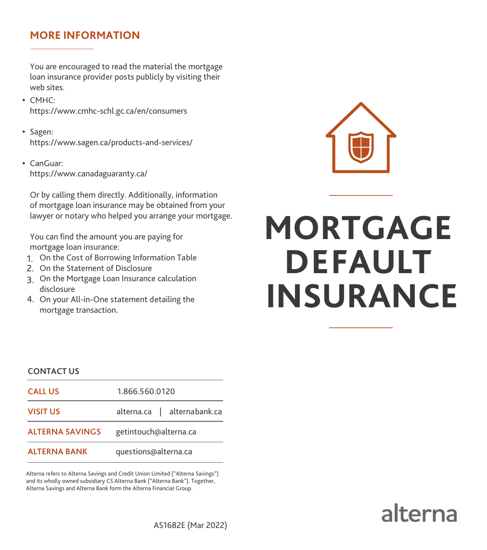### **MORE INFORMATION**

You are encouraged to read the material the mortgage loan insurance provider posts publicly by visiting their web sites.

- CMHC: https://www.cmhc-schl.gc.ca/en/consumers
- Sagen: https://www.sagen.ca/products-and-services/
- CanGuar: https://www.canadaguaranty.ca/

Or by calling them directly. Additionally, information of mortgage loan insurance may be obtained from your lawyer or notary who helped you arrange your mortgage.

You can find the amount you are paying for mortgage loan insurance:

- 1. On the Cost of Borrowing Information Table
- 2. On the Statement of Disclosure
- 3. On the Mortgage Loan Insurance calculation disclosure
- 4. On your All-in-One statement detailing the mortgage transaction.



# **MORTGAGE DEFAULT INSURANCE**

#### **CONTACT US**

| <b>CALL US</b>         | 1.866.560.0120              |
|------------------------|-----------------------------|
| <b>VISIT US</b>        | alterna.ca   alternabank.ca |
| <b>ALTERNA SAVINGS</b> | getintouch@alterna.ca       |
| <b>ALTERNA BANK</b>    | questions@alterna.ca        |

Alterna refers to Alterna Savings and Credit Union Limited ("Alterna Savings") and its wholly owned subsidiary CS Alterna Bank ("Alterna Bank"). Together, Alterna Savings and Alterna Bank form the Alterna Financial Group.